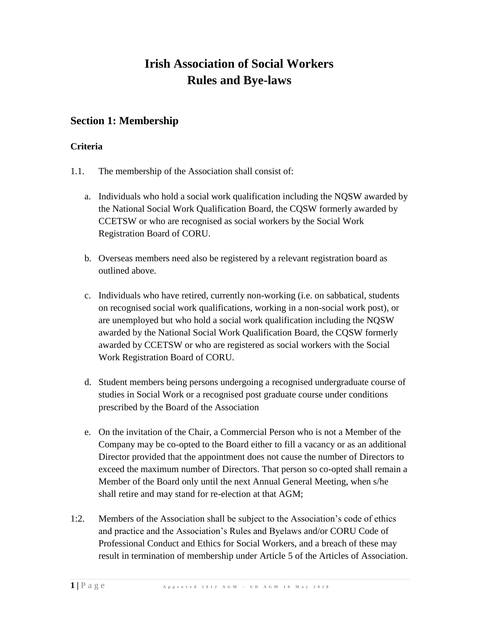# **Irish Association of Social Workers Rules and Bye-laws**

### **Section 1: Membership**

### **Criteria**

- 1.1. The membership of the Association shall consist of:
	- a. Individuals who hold a social work qualification including the NQSW awarded by the National Social Work Qualification Board, the CQSW formerly awarded by CCETSW or who are recognised as social workers by the Social Work Registration Board of CORU.
	- b. Overseas members need also be registered by a relevant registration board as outlined above.
	- c. Individuals who have retired, currently non-working (i.e. on sabbatical, students on recognised social work qualifications, working in a non-social work post), or are unemployed but who hold a social work qualification including the NQSW awarded by the National Social Work Qualification Board, the CQSW formerly awarded by CCETSW or who are registered as social workers with the Social Work Registration Board of CORU.
	- d. Student members being persons undergoing a recognised undergraduate course of studies in Social Work or a recognised post graduate course under conditions prescribed by the Board of the Association
	- e. On the invitation of the Chair, a Commercial Person who is not a Member of the Company may be co-opted to the Board either to fill a vacancy or as an additional Director provided that the appointment does not cause the number of Directors to exceed the maximum number of Directors. That person so co-opted shall remain a Member of the Board only until the next Annual General Meeting, when s/he shall retire and may stand for re-election at that AGM;
- 1:2. Members of the Association shall be subject to the Association's code of ethics and practice and the Association's Rules and Byelaws and/or CORU Code of Professional Conduct and Ethics for Social Workers, and a breach of these may result in termination of membership under Article 5 of the Articles of Association.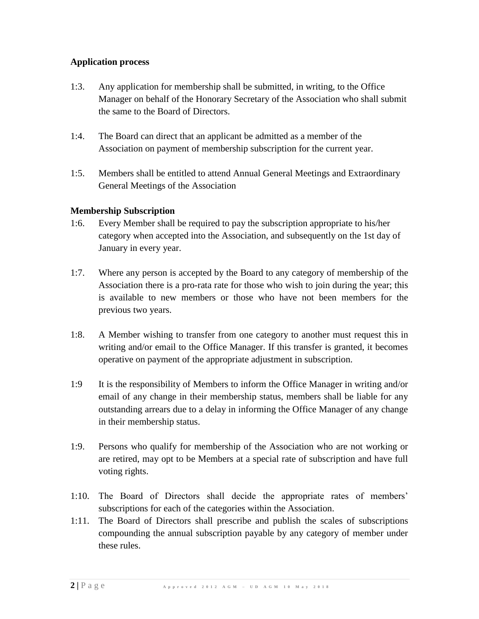#### **Application process**

- 1:3. Any application for membership shall be submitted, in writing, to the Office Manager on behalf of the Honorary Secretary of the Association who shall submit the same to the Board of Directors.
- 1:4. The Board can direct that an applicant be admitted as a member of the Association on payment of membership subscription for the current year.
- 1:5. Members shall be entitled to attend Annual General Meetings and Extraordinary General Meetings of the Association

### **Membership Subscription**

- 1:6. Every Member shall be required to pay the subscription appropriate to his/her category when accepted into the Association, and subsequently on the 1st day of January in every year.
- 1:7. Where any person is accepted by the Board to any category of membership of the Association there is a pro-rata rate for those who wish to join during the year; this is available to new members or those who have not been members for the previous two years.
- 1:8. A Member wishing to transfer from one category to another must request this in writing and/or email to the Office Manager. If this transfer is granted, it becomes operative on payment of the appropriate adjustment in subscription.
- 1:9 It is the responsibility of Members to inform the Office Manager in writing and/or email of any change in their membership status, members shall be liable for any outstanding arrears due to a delay in informing the Office Manager of any change in their membership status.
- 1:9. Persons who qualify for membership of the Association who are not working or are retired, may opt to be Members at a special rate of subscription and have full voting rights.
- 1:10. The Board of Directors shall decide the appropriate rates of members' subscriptions for each of the categories within the Association.
- 1:11. The Board of Directors shall prescribe and publish the scales of subscriptions compounding the annual subscription payable by any category of member under these rules.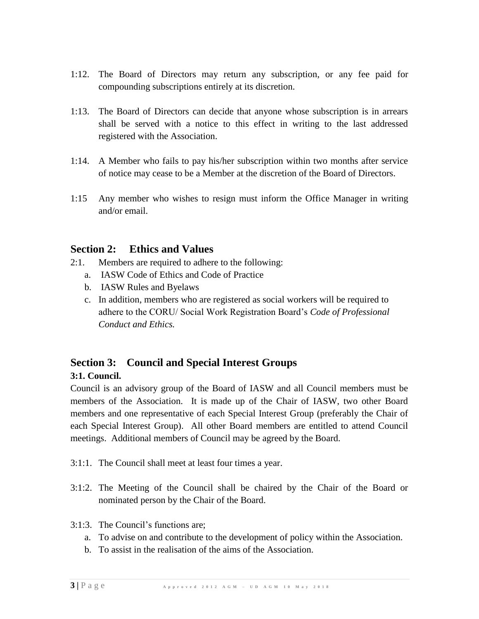- 1:12. The Board of Directors may return any subscription, or any fee paid for compounding subscriptions entirely at its discretion.
- 1:13. The Board of Directors can decide that anyone whose subscription is in arrears shall be served with a notice to this effect in writing to the last addressed registered with the Association.
- 1:14. A Member who fails to pay his/her subscription within two months after service of notice may cease to be a Member at the discretion of the Board of Directors.
- 1:15 Any member who wishes to resign must inform the Office Manager in writing and/or email.

### **Section 2: Ethics and Values**

- 2:1. Members are required to adhere to the following:
	- a. IASW Code of Ethics and Code of Practice
	- b. IASW Rules and Byelaws
	- c. In addition, members who are registered as social workers will be required to adhere to the CORU/ Social Work Registration Board's *Code of Professional Conduct and Ethics.*

### **Section 3: Council and Special Interest Groups**

#### **3:1. Council.**

Council is an advisory group of the Board of IASW and all Council members must be members of the Association. It is made up of the Chair of IASW, two other Board members and one representative of each Special Interest Group (preferably the Chair of each Special Interest Group). All other Board members are entitled to attend Council meetings. Additional members of Council may be agreed by the Board.

- 3:1:1. The Council shall meet at least four times a year.
- 3:1:2. The Meeting of the Council shall be chaired by the Chair of the Board or nominated person by the Chair of the Board.
- 3:1:3. The Council's functions are;
	- a. To advise on and contribute to the development of policy within the Association.
	- b. To assist in the realisation of the aims of the Association.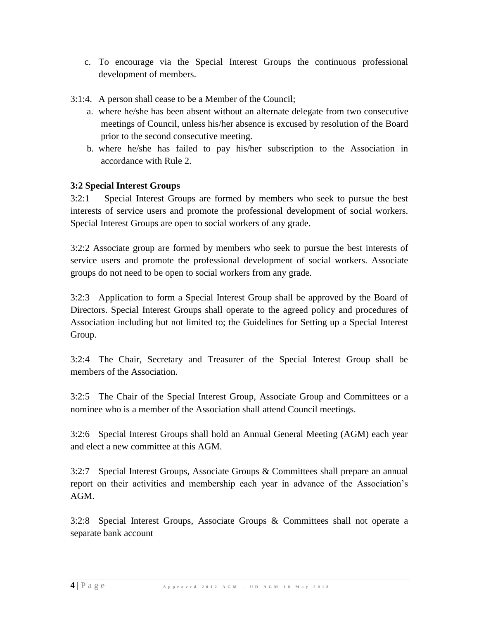- c. To encourage via the Special Interest Groups the continuous professional development of members.
- 3:1:4. A person shall cease to be a Member of the Council;
	- a. where he/she has been absent without an alternate delegate from two consecutive meetings of Council, unless his/her absence is excused by resolution of the Board prior to the second consecutive meeting.
	- b. where he/she has failed to pay his/her subscription to the Association in accordance with Rule 2.

### **3:2 Special Interest Groups**

3:2:1 Special Interest Groups are formed by members who seek to pursue the best interests of service users and promote the professional development of social workers. Special Interest Groups are open to social workers of any grade.

3:2:2 Associate group are formed by members who seek to pursue the best interests of service users and promote the professional development of social workers. Associate groups do not need to be open to social workers from any grade.

3:2:3 Application to form a Special Interest Group shall be approved by the Board of Directors. Special Interest Groups shall operate to the agreed policy and procedures of Association including but not limited to; the Guidelines for Setting up a Special Interest Group.

3:2:4 The Chair, Secretary and Treasurer of the Special Interest Group shall be members of the Association.

3:2:5 The Chair of the Special Interest Group, Associate Group and Committees or a nominee who is a member of the Association shall attend Council meetings.

3:2:6 Special Interest Groups shall hold an Annual General Meeting (AGM) each year and elect a new committee at this AGM.

3:2:7 Special Interest Groups, Associate Groups & Committees shall prepare an annual report on their activities and membership each year in advance of the Association's AGM.

3:2:8 Special Interest Groups, Associate Groups & Committees shall not operate a separate bank account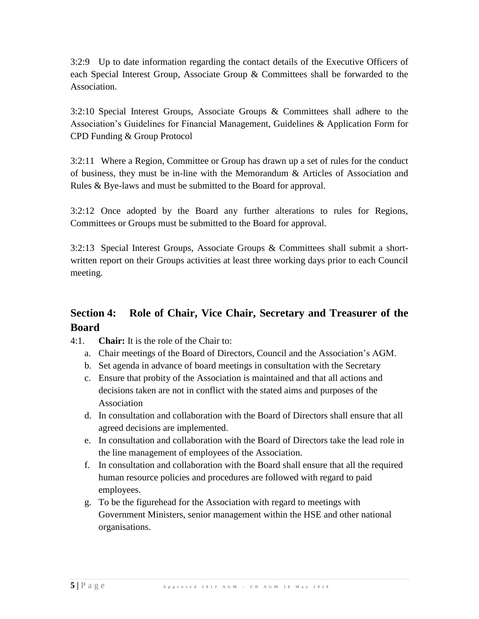3:2:9 Up to date information regarding the contact details of the Executive Officers of each Special Interest Group, Associate Group & Committees shall be forwarded to the Association.

3:2:10 Special Interest Groups, Associate Groups & Committees shall adhere to the Association's Guidelines for Financial Management, Guidelines & Application Form for CPD Funding & Group Protocol

3:2:11 Where a Region, Committee or Group has drawn up a set of rules for the conduct of business, they must be in-line with the Memorandum & Articles of Association and Rules & Bye-laws and must be submitted to the Board for approval.

3:2:12 Once adopted by the Board any further alterations to rules for Regions, Committees or Groups must be submitted to the Board for approval.

3:2:13 Special Interest Groups, Associate Groups & Committees shall submit a shortwritten report on their Groups activities at least three working days prior to each Council meeting.

# **Section 4: Role of Chair, Vice Chair, Secretary and Treasurer of the Board**

- 4:1. **Chair:** It is the role of the Chair to:
	- a. Chair meetings of the Board of Directors, Council and the Association's AGM.
	- b. Set agenda in advance of board meetings in consultation with the Secretary
	- c. Ensure that probity of the Association is maintained and that all actions and decisions taken are not in conflict with the stated aims and purposes of the Association
	- d. In consultation and collaboration with the Board of Directors shall ensure that all agreed decisions are implemented.
	- e. In consultation and collaboration with the Board of Directors take the lead role in the line management of employees of the Association.
	- f. In consultation and collaboration with the Board shall ensure that all the required human resource policies and procedures are followed with regard to paid employees.
	- g. To be the figurehead for the Association with regard to meetings with Government Ministers, senior management within the HSE and other national organisations.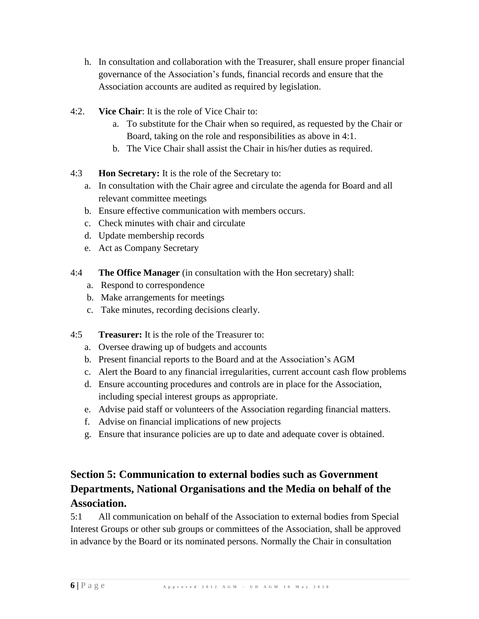- h. In consultation and collaboration with the Treasurer, shall ensure proper financial governance of the Association's funds, financial records and ensure that the Association accounts are audited as required by legislation.
- 4:2. **Vice Chair**: It is the role of Vice Chair to:
	- a. To substitute for the Chair when so required, as requested by the Chair or Board, taking on the role and responsibilities as above in 4:1.
	- b. The Vice Chair shall assist the Chair in his/her duties as required.
- 4:3 **Hon Secretary:** It is the role of the Secretary to:
	- a. In consultation with the Chair agree and circulate the agenda for Board and all relevant committee meetings
	- b. Ensure effective communication with members occurs.
	- c. Check minutes with chair and circulate
	- d. Update membership records
	- e. Act as Company Secretary
- 4:4 **The Office Manager** (in consultation with the Hon secretary) shall:
	- a. Respond to correspondence
	- b. Make arrangements for meetings
	- c. Take minutes, recording decisions clearly.
- 4:5 **Treasurer:** It is the role of the Treasurer to:
	- a. Oversee drawing up of budgets and accounts
	- b. Present financial reports to the Board and at the Association's AGM
	- c. Alert the Board to any financial irregularities, current account cash flow problems
	- d. Ensure accounting procedures and controls are in place for the Association, including special interest groups as appropriate.
	- e. Advise paid staff or volunteers of the Association regarding financial matters.
	- f. Advise on financial implications of new projects
	- g. Ensure that insurance policies are up to date and adequate cover is obtained.

# **Section 5: Communication to external bodies such as Government Departments, National Organisations and the Media on behalf of the Association.**

5:1 All communication on behalf of the Association to external bodies from Special Interest Groups or other sub groups or committees of the Association, shall be approved in advance by the Board or its nominated persons. Normally the Chair in consultation